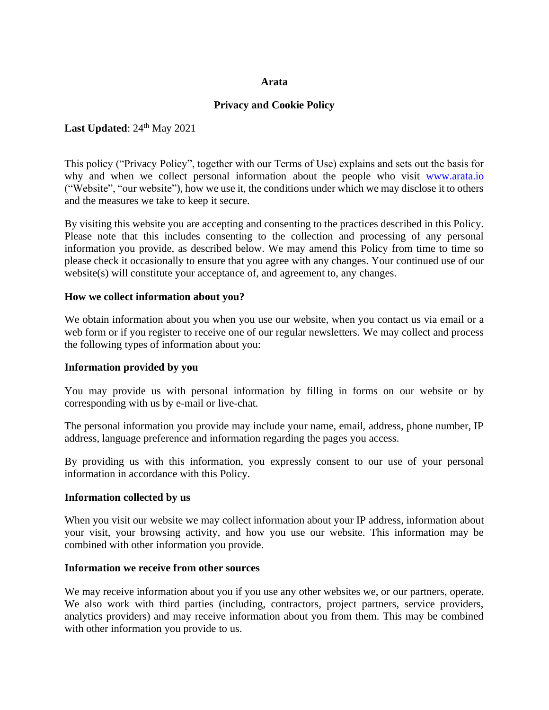### **Arata**

## **Privacy and Cookie Policy**

## Last Updated:  $24<sup>th</sup>$  May 2021

This policy ("Privacy Policy", together with our Terms of Use) explains and sets out the basis for why and when we collect personal information about the people who visit [www.arata.io](http://www.arata.io/) ("Website", "our website"), how we use it, the conditions under which we may disclose it to others and the measures we take to keep it secure.

By visiting this website you are accepting and consenting to the practices described in this Policy. Please note that this includes consenting to the collection and processing of any personal information you provide, as described below. We may amend this Policy from time to time so please check it occasionally to ensure that you agree with any changes. Your continued use of our website(s) will constitute your acceptance of, and agreement to, any changes.

### **How we collect information about you?**

We obtain information about you when you use our website, when you contact us via email or a web form or if you register to receive one of our regular newsletters. We may collect and process the following types of information about you:

#### **Information provided by you**

You may provide us with personal information by filling in forms on our website or by corresponding with us by e-mail or live-chat.

The personal information you provide may include your name, email, address, phone number, IP address, language preference and information regarding the pages you access.

By providing us with this information, you expressly consent to our use of your personal information in accordance with this Policy.

#### **Information collected by us**

When you visit our website we may collect information about your IP address, information about your visit, your browsing activity, and how you use our website. This information may be combined with other information you provide.

#### **Information we receive from other sources**

We may receive information about you if you use any other websites we, or our partners, operate. We also work with third parties (including, contractors, project partners, service providers, analytics providers) and may receive information about you from them. This may be combined with other information you provide to us.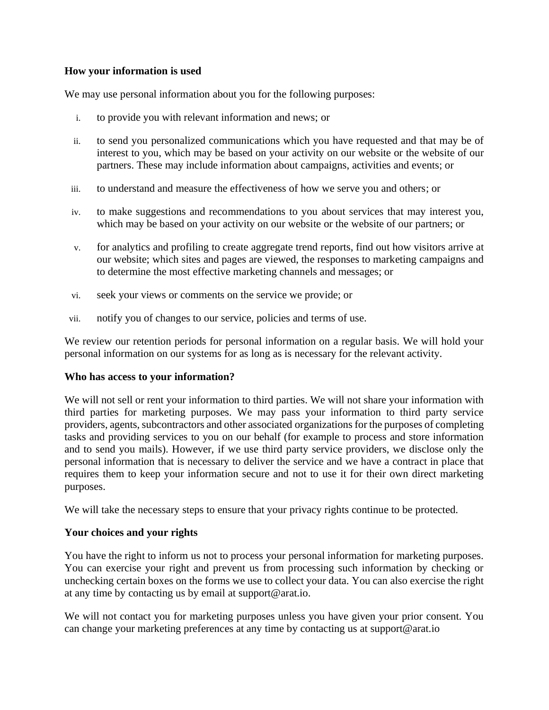# **How your information is used**

We may use personal information about you for the following purposes:

- i. to provide you with relevant information and news; or
- ii. to send you personalized communications which you have requested and that may be of interest to you, which may be based on your activity on our website or the website of our partners. These may include information about campaigns, activities and events; or
- iii. to understand and measure the effectiveness of how we serve you and others; or
- iv. to make suggestions and recommendations to you about services that may interest you, which may be based on your activity on our website or the website of our partners; or
- v. for analytics and profiling to create aggregate trend reports, find out how visitors arrive at our website; which sites and pages are viewed, the responses to marketing campaigns and to determine the most effective marketing channels and messages; or
- vi. seek your views or comments on the service we provide; or
- vii. notify you of changes to our service, policies and terms of use.

We review our retention periods for personal information on a regular basis. We will hold your personal information on our systems for as long as is necessary for the relevant activity.

## **Who has access to your information?**

We will not sell or rent your information to third parties. We will not share your information with third parties for marketing purposes. We may pass your information to third party service providers, agents, subcontractors and other associated organizations for the purposes of completing tasks and providing services to you on our behalf (for example to process and store information and to send you mails). However, if we use third party service providers, we disclose only the personal information that is necessary to deliver the service and we have a contract in place that requires them to keep your information secure and not to use it for their own direct marketing purposes.

We will take the necessary steps to ensure that your privacy rights continue to be protected.

## **Your choices and your rights**

You have the right to inform us not to process your personal information for marketing purposes. You can exercise your right and prevent us from processing such information by checking or unchecking certain boxes on the forms we use to collect your data. You can also exercise the right at any time by contacting us by email at support@arat.io.

We will not contact you for marketing purposes unless you have given your prior consent. You can change your marketing preferences at any time by contacting us at support@arat.io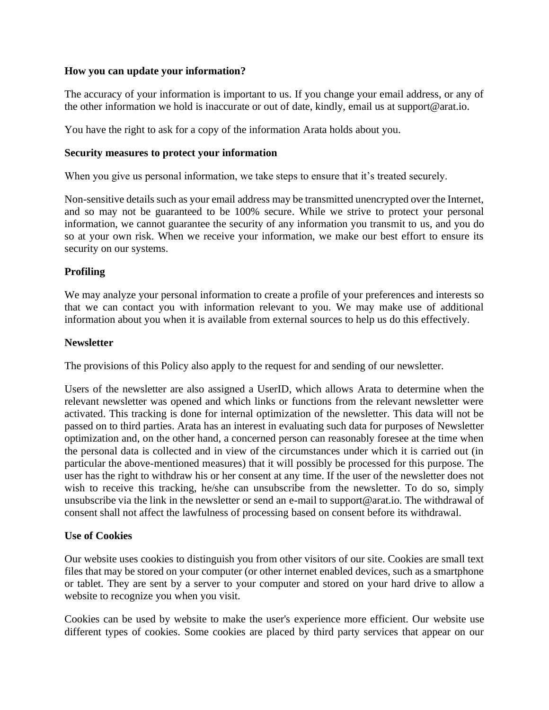# **How you can update your information?**

The accuracy of your information is important to us. If you change your email address, or any of the other information we hold is inaccurate or out of date, kindly, email us at support@arat.io.

You have the right to ask for a copy of the information Arata holds about you.

# **Security measures to protect your information**

When you give us personal information, we take steps to ensure that it's treated securely.

Non-sensitive details such as your email address may be transmitted unencrypted over the Internet, and so may not be guaranteed to be 100% secure. While we strive to protect your personal information, we cannot guarantee the security of any information you transmit to us, and you do so at your own risk. When we receive your information, we make our best effort to ensure its security on our systems.

# **Profiling**

We may analyze your personal information to create a profile of your preferences and interests so that we can contact you with information relevant to you. We may make use of additional information about you when it is available from external sources to help us do this effectively.

# **Newsletter**

The provisions of this Policy also apply to the request for and sending of our newsletter.

Users of the newsletter are also assigned a UserID, which allows Arata to determine when the relevant newsletter was opened and which links or functions from the relevant newsletter were activated. This tracking is done for internal optimization of the newsletter. This data will not be passed on to third parties. Arata has an interest in evaluating such data for purposes of Newsletter optimization and, on the other hand, a concerned person can reasonably foresee at the time when the personal data is collected and in view of the circumstances under which it is carried out (in particular the above-mentioned measures) that it will possibly be processed for this purpose. The user has the right to withdraw his or her consent at any time. If the user of the newsletter does not wish to receive this tracking, he/she can unsubscribe from the newsletter. To do so, simply unsubscribe via the link in the newsletter or send an e-mail to support@arat.io. The withdrawal of consent shall not affect the lawfulness of processing based on consent before its withdrawal.

## **Use of Cookies**

Our website uses cookies to distinguish you from other visitors of our site. Cookies are small text files that may be stored on your computer (or other internet enabled devices, such as a smartphone or tablet. They are sent by a server to your computer and stored on your hard drive to allow a website to recognize you when you visit.

Cookies can be used by website to make the user's experience more efficient. Our website use different types of cookies. Some cookies are placed by third party services that appear on our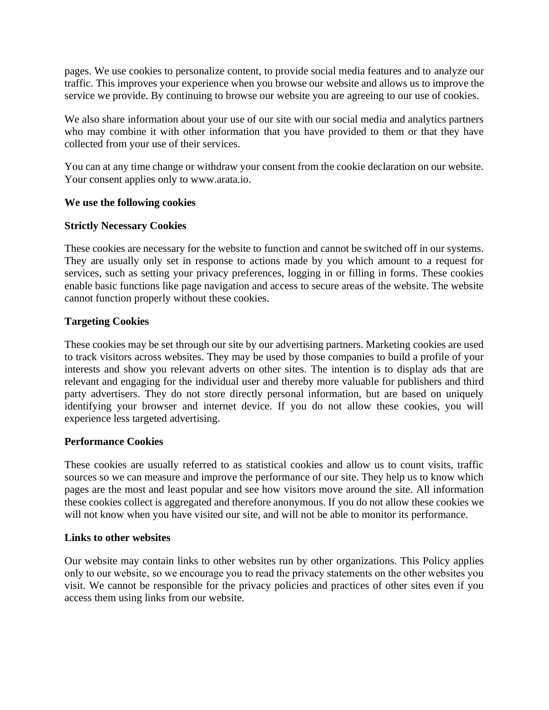pages. We use cookies to personalize content, to provide social media features and to analyze our traffic. This improves your experience when you browse our website and allows us to improve the service we provide. By continuing to browse our website you are agreeing to our use of cookies.

We also share information about your use of our site with our social media and analytics partners who may combine it with other information that you have provided to them or that they have collected from your use of their services.

You can at any time change or withdraw your consent from the cookie declaration on our website. Your consent applies only to www.arata.io.

# **We use the following cookies**

# **Strictly Necessary Cookies**

These cookies are necessary for the website to function and cannot be switched off in our systems. They are usually only set in response to actions made by you which amount to a request for services, such as setting your privacy preferences, logging in or filling in forms. These cookies enable basic functions like page navigation and access to secure areas of the website. The website cannot function properly without these cookies.

# **Targeting Cookies**

These cookies may be set through our site by our advertising partners. Marketing cookies are used to track visitors across websites. They may be used by those companies to build a profile of your interests and show you relevant adverts on other sites. The intention is to display ads that are relevant and engaging for the individual user and thereby more valuable for publishers and third party advertisers. They do not store directly personal information, but are based on uniquely identifying your browser and internet device. If you do not allow these cookies, you will experience less targeted advertising.

## **Performance Cookies**

These cookies are usually referred to as statistical cookies and allow us to count visits, traffic sources so we can measure and improve the performance of our site. They help us to know which pages are the most and least popular and see how visitors move around the site. All information these cookies collect is aggregated and therefore anonymous. If you do not allow these cookies we will not know when you have visited our site, and will not be able to monitor its performance.

## **Links to other websites**

Our website may contain links to other websites run by other organizations. This Policy applies only to our website, so we encourage you to read the privacy statements on the other websites you visit. We cannot be responsible for the privacy policies and practices of other sites even if you access them using links from our website.